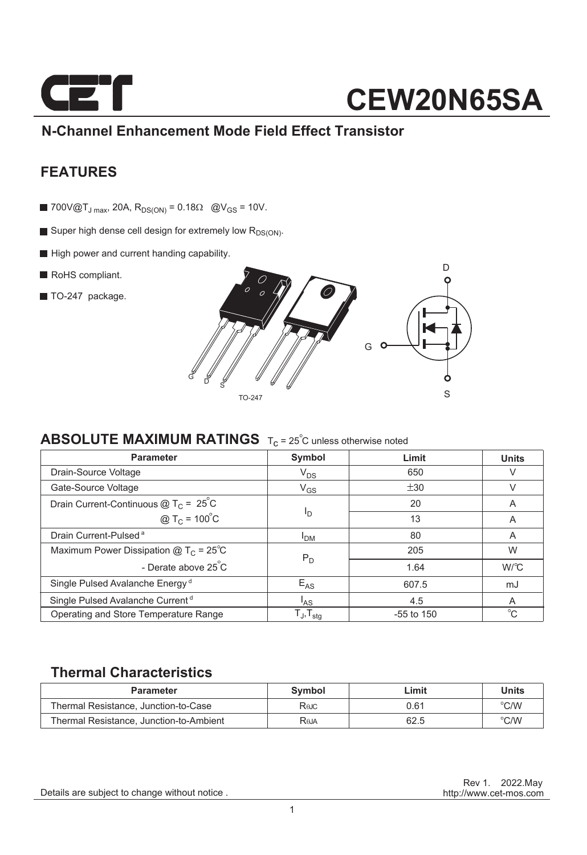

### **N-Channel Enhancement Mode Field Effect Transistor**

### **FEATURES**

- 700V@T<sub>J max</sub>, 20A, R<sub>DS(ON)</sub> = 0.18 $\Omega$  @V<sub>GS</sub> = 10V.
- Super high dense cell design for extremely low  $R_{DS(ON)}$ .
- High power and current handing capability.
- RoHS compliant.
- TO-247 package.



### **ABSOLUTE MAXIMUM RATINGS**  $T_c = 25^\circ$ C unless otherwise noted

| <b>Parameter</b>                             | Symbol                     | Limit        | <b>Units</b> |  |
|----------------------------------------------|----------------------------|--------------|--------------|--|
| Drain-Source Voltage                         | $V_{DS}$                   | 650          |              |  |
| Gate-Source Voltage                          | $V_{GS}$                   | ±30          |              |  |
| Drain Current-Continuous $@TC = 25°C$        |                            | 20           | A            |  |
| @ $T_c = 100^{\circ}C$                       | <sup>I</sup> D             | 13           | A            |  |
| Drain Current-Pulsed <sup>a</sup>            | <b>I<sub>DM</sub></b>      | 80           | A            |  |
| Maximum Power Dissipation $@TC = 25°C$       | $P_D$                      | 205          | W            |  |
| - Derate above 25 C                          |                            | 1.64         | $W^{\circ}C$ |  |
| Single Pulsed Avalanche Energy <sup>d</sup>  | $E_{AS}$<br>607.5          |              | mJ           |  |
| Single Pulsed Avalanche Current <sup>d</sup> | l <sub>AS</sub>            | 4.5          | A            |  |
| Operating and Store Temperature Range        | ${\sf T_J}, {\sf T_{stg}}$ | $-55$ to 150 | $^{\circ}C$  |  |

### **Thermal Characteristics**

| <b>Parameter</b>                        | Symbol | ∟imit | Units |
|-----------------------------------------|--------|-------|-------|
| Thermal Resistance. Junction-to-Case    | Rejc   | 0.61  | °C/W  |
| Thermal Resistance, Junction-to-Ambient | Reja   | 62.5  | °C/W  |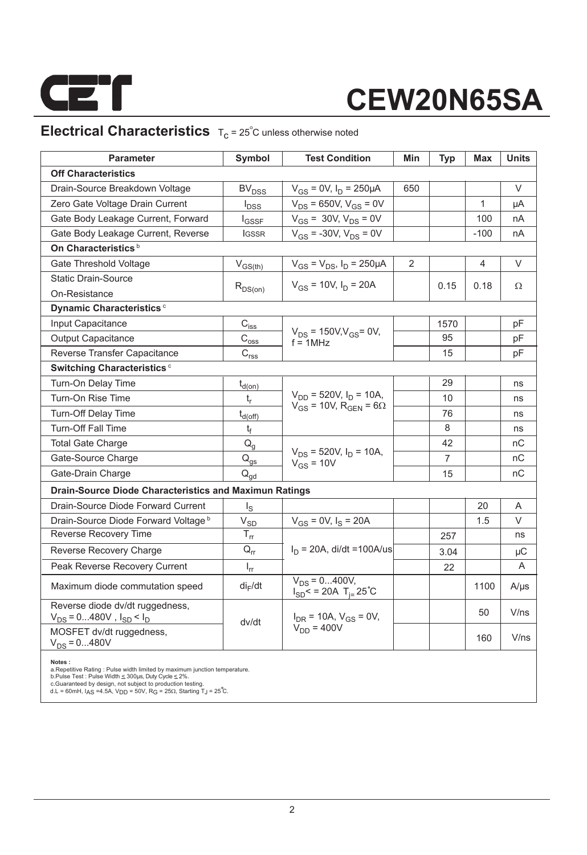

### **Electrical Characteristics**  $T_c = 25^\circ C$  unless otherwise noted

| <b>Parameter</b>                                                      | Symbol                                                | <b>Test Condition</b>                                      | Min | <b>Typ</b> | Max    | <b>Units</b> |  |  |  |  |
|-----------------------------------------------------------------------|-------------------------------------------------------|------------------------------------------------------------|-----|------------|--------|--------------|--|--|--|--|
| <b>Off Characteristics</b>                                            |                                                       |                                                            |     |            |        |              |  |  |  |  |
| Drain-Source Breakdown Voltage                                        | <b>BV<sub>DSS</sub></b>                               | $V_{GS}$ = 0V, $I_D$ = 250µA                               | 650 |            |        | V            |  |  |  |  |
| Zero Gate Voltage Drain Current                                       | $I_{DSS}$                                             | $V_{DS}$ = 650V, $V_{GS}$ = 0V                             |     |            | 1      | μA           |  |  |  |  |
| Gate Body Leakage Current, Forward                                    | $I_{\mathsf{GSSF}}$                                   | $V_{GS}$ = 30V, $V_{DS}$ = 0V                              |     |            | 100    | nA           |  |  |  |  |
| Gate Body Leakage Current, Reverse                                    | <b>IGSSR</b>                                          | $V_{GS}$ = -30V, $V_{DS}$ = 0V                             |     |            | $-100$ | nA           |  |  |  |  |
| On Characteristics <sup>b</sup>                                       |                                                       |                                                            |     |            |        |              |  |  |  |  |
| Gate Threshold Voltage                                                | $V_{GS(th)}$                                          | $V_{GS} = V_{DS}$ , $I_D = 250 \mu A$                      | 2   |            | 4      | V            |  |  |  |  |
| <b>Static Drain-Source</b>                                            |                                                       | $V_{GS}$ = 10V, $I_D$ = 20A                                |     |            | 0.18   | Ω            |  |  |  |  |
| On-Resistance                                                         | $R_{DS(on)}$                                          |                                                            |     | 0.15       |        |              |  |  |  |  |
| Dynamic Characteristics <sup>c</sup>                                  |                                                       |                                                            |     |            |        |              |  |  |  |  |
| Input Capacitance                                                     | $C_{i s \underline{s}}$                               |                                                            |     | 1570       |        | pF           |  |  |  |  |
| <b>Output Capacitance</b>                                             | $\text{C}_{\text{o}\underline{\text{ss}}}$            | $V_{DS}$ = 150V, $V_{GS}$ = 0V,<br>$f = 1$ MHz             |     | 95         |        | pF           |  |  |  |  |
| Reverse Transfer Capacitance                                          | $\mathbf{C}_{\text{rss}\underline{}}$                 |                                                            |     | 15         |        | рF           |  |  |  |  |
| Switching Characteristics <sup>c</sup>                                |                                                       |                                                            |     |            |        |              |  |  |  |  |
| Turn-On Delay Time                                                    | $t_{d(op)}$                                           |                                                            |     | 29         |        | ns           |  |  |  |  |
| Turn-On Rise Time                                                     | t,                                                    | $V_{DD}$ = 520V, $I_D$ = 10A,                              |     | 10         |        | ns           |  |  |  |  |
| Turn-Off Delay Time                                                   | $t_{d(\text{off})}$                                   | $V_{GS}$ = 10V, R <sub>GEN</sub> = 6 $\Omega$              |     | 76         |        | ns           |  |  |  |  |
| <b>Turn-Off Fall Time</b>                                             | $t_{\rm f}$                                           |                                                            |     | 8          |        | ns           |  |  |  |  |
| <b>Total Gate Charge</b>                                              | $Q_q$                                                 |                                                            |     | 42         |        | nC           |  |  |  |  |
| Gate-Source Charge                                                    | $Q_{gs}$                                              | $V_{DS}$ = 520V, $I_D$ = 10A,<br>$V_{GS}$ = 10V            |     | 7          |        | nC           |  |  |  |  |
| Gate-Drain Charge                                                     | $Q_{gd}$                                              |                                                            |     | 15         |        | nC           |  |  |  |  |
| <b>Drain-Source Diode Characteristics and Maximun Ratings</b>         |                                                       |                                                            |     |            |        |              |  |  |  |  |
| Drain-Source Diode Forward Current                                    | $I_{\rm S}$                                           |                                                            |     |            | 20     | A            |  |  |  |  |
| Drain-Source Diode Forward Voltage b                                  | $\mathsf{V}_{\mathsf{SD}}$                            | $V_{GS}$ = 0V, $I_S$ = 20A                                 |     |            | 1.5    | V            |  |  |  |  |
| Reverse Recovery Time                                                 | $\mathsf{T}_{\mathsf{rr}}$                            |                                                            |     | 257        |        | ns           |  |  |  |  |
| Reverse Recovery Charge                                               | $Q_{rr}$                                              | $I_D = 20A$ , di/dt =100A/us                               |     | 3.04       |        | μC           |  |  |  |  |
| Peak Reverse Recovery Current                                         | $I_{rr}$                                              |                                                            |     | 22         |        | A            |  |  |  |  |
| Maximum diode commutation speed                                       | $di_F/dt$                                             | $V_{DS} = 0400V,$<br>$I_{SD}$ < = 20A T <sub>i=</sub> 25°C |     |            | 1100   | $A/\mu s$    |  |  |  |  |
| Reverse diode dv/dt ruggedness,<br>$V_{DS}$ = 0480V, $I_{SD}$ < $I_D$ | $I_{\text{DR}}$ = 10A, $V_{\text{GS}}$ = 0V,<br>dv/dt |                                                            |     |            | 50     | V/ns         |  |  |  |  |
| MOSFET dv/dt ruggedness,<br>$V_{DS} = 0480V$                          |                                                       | $V_{DD} = 400V$                                            |     |            | 160    | V/ns         |  |  |  |  |

**Notes :**<br>a.Repetitive Rating : Pulse width limited by maximum junction temperature.<br>b.Pulse Test : Pulse Width ≤ 300µs, Duty Cycle ≤ 2%.<br>c.Guaranteed by design, not subject to production testing.

d.L = 60mH, I<sub>AS</sub> =4.5A, V<sub>DD</sub> = 50V, R<sub>G</sub> = 25 $\Omega$ , Starting T $_{\text{J}}$  = 25 C.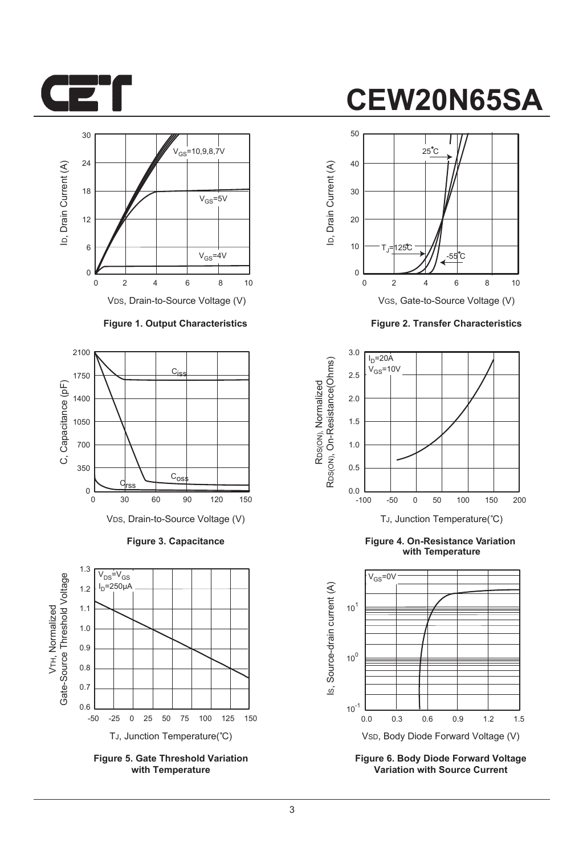



#### **Figure 1. Output Characteristics**



**Figure 3. Capacitance**



**Figure 5. Gate Threshold Variation with Temperature**

# **CEW20N65SA**



VGS, Gate-to-Source Voltage (V)

**Figure 2. Transfer Characteristics**



**Figure 4. On-Resistance Variation with Temperature**



**Figure 6. Body Diode Forward Voltage Variation with Source Current**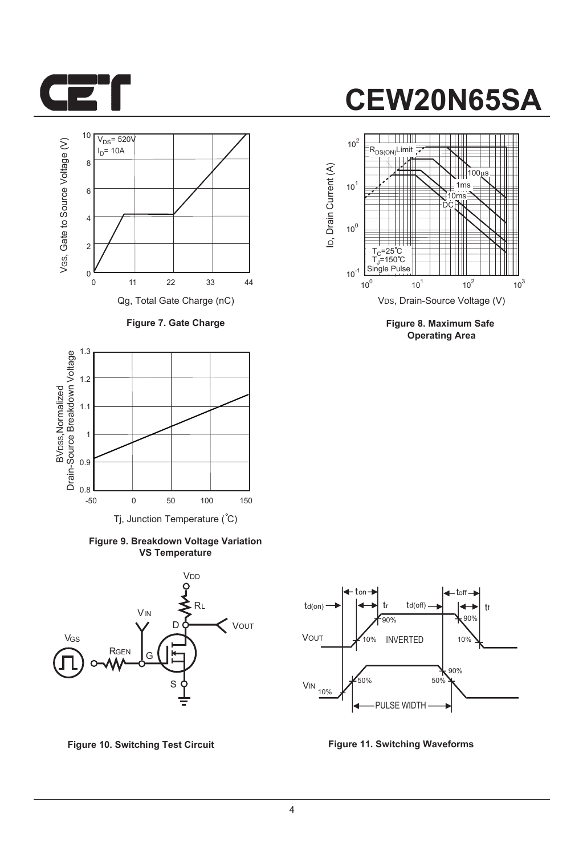



**Figure 7. Gate Charge**



**Figure 9. Breakdown Voltage Variation VS Temperature**





**Figure 8. Maximum Safe Operating Area**